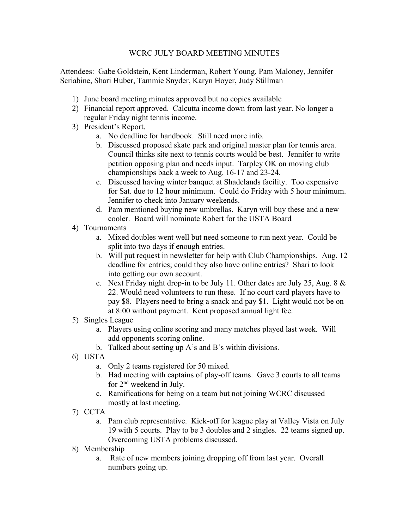## WCRC JULY BOARD MEETING MINUTES

Attendees: Gabe Goldstein, Kent Linderman, Robert Young, Pam Maloney, Jennifer Scriabine, Shari Huber, Tammie Snyder, Karyn Hoyer, Judy Stillman

- 1) June board meeting minutes approved but no copies available
- 2) Financial report approved. Calcutta income down from last year. No longer a regular Friday night tennis income.
- 3) President's Report.
	- a. No deadline for handbook. Still need more info.
	- b. Discussed proposed skate park and original master plan for tennis area. Council thinks site next to tennis courts would be best. Jennifer to write petition opposing plan and needs input. Tarpley OK on moving club championships back a week to Aug. 16-17 and 23-24.
	- c. Discussed having winter banquet at Shadelands facility. Too expensive for Sat. due to 12 hour minimum. Could do Friday with 5 hour minimum. Jennifer to check into January weekends.
	- d. Pam mentioned buying new umbrellas. Karyn will buy these and a new cooler. Board will nominate Robert for the USTA Board
- 4) Tournaments
	- a. Mixed doubles went well but need someone to run next year. Could be split into two days if enough entries.
	- b. Will put request in newsletter for help with Club Championships. Aug. 12 deadline for entries; could they also have online entries? Shari to look into getting our own account.
	- c. Next Friday night drop-in to be July 11. Other dates are July 25, Aug.  $8 \&$ 22. Would need volunteers to run these. If no court card players have to pay \$8. Players need to bring a snack and pay \$1. Light would not be on at 8:00 without payment. Kent proposed annual light fee.
- 5) Singles League
	- a. Players using online scoring and many matches played last week. Will add opponents scoring online.
	- b. Talked about setting up A's and B's within divisions.
- 6) USTA
	- a. Only 2 teams registered for 50 mixed.
	- b. Had meeting with captains of play-off teams. Gave 3 courts to all teams for 2nd weekend in July.
	- c. Ramifications for being on a team but not joining WCRC discussed mostly at last meeting.
- 7) CCTA
	- a. Pam club representative. Kick-off for league play at Valley Vista on July 19 with 5 courts. Play to be 3 doubles and 2 singles. 22 teams signed up. Overcoming USTA problems discussed.
- 8) Membership
	- a. Rate of new members joining dropping off from last year. Overall numbers going up.